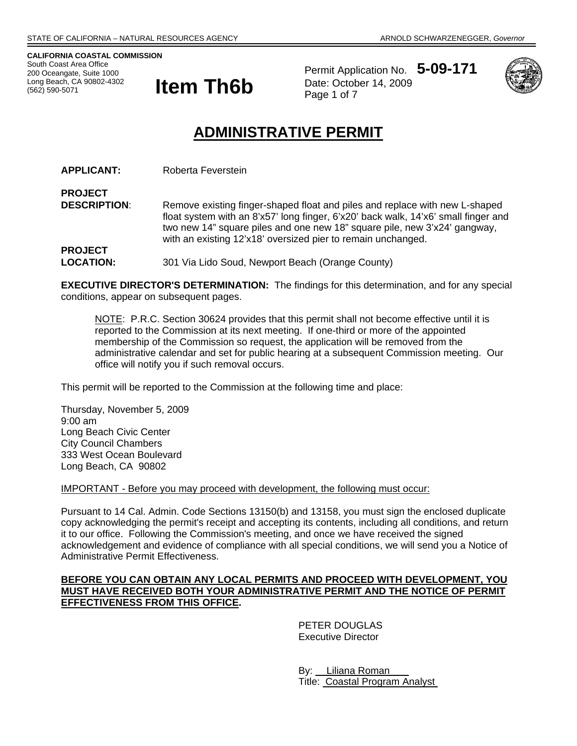**CALIFORNIA COASTAL COMMISSION**  South Coast Area Office 200 Oceangate, Suite 1000 (562) 590-5071



Permit Application No. **5-09-171** Date: October 14, 2009 Page 1 of 7



# **ADMINISTRATIVE PERMIT**

**APPLICANT:** Roberta Feverstein

**PROJECT DESCRIPTION:** Remove existing finger-shaped float and piles and replace with new L-shaped float system with an 8'x57' long finger, 6'x20' back walk, 14'x6' small finger and two new 14" square piles and one new 18" square pile, new 3'x24' gangway, with an existing 12'x18' oversized pier to remain unchanged. **PROJECT** 

**LOCATION:** 301 Via Lido Soud, Newport Beach (Orange County)

**EXECUTIVE DIRECTOR'S DETERMINATION:** The findings for this determination, and for any special conditions, appear on subsequent pages.

NOTE: P.R.C. Section 30624 provides that this permit shall not become effective until it is reported to the Commission at its next meeting. If one-third or more of the appointed membership of the Commission so request, the application will be removed from the administrative calendar and set for public hearing at a subsequent Commission meeting. Our office will notify you if such removal occurs.

This permit will be reported to the Commission at the following time and place:

Thursday, November 5, 2009 9:00 am Long Beach Civic Center City Council Chambers 333 West Ocean Boulevard Long Beach, CA 90802

IMPORTANT - Before you may proceed with development, the following must occur:

Pursuant to 14 Cal. Admin. Code Sections 13150(b) and 13158, you must sign the enclosed duplicate copy acknowledging the permit's receipt and accepting its contents, including all conditions, and return it to our office. Following the Commission's meeting, and once we have received the signed acknowledgement and evidence of compliance with all special conditions, we will send you a Notice of Administrative Permit Effectiveness.

## **BEFORE YOU CAN OBTAIN ANY LOCAL PERMITS AND PROCEED WITH DEVELOPMENT, YOU MUST HAVE RECEIVED BOTH YOUR ADMINISTRATIVE PERMIT AND THE NOTICE OF PERMIT EFFECTIVENESS FROM THIS OFFICE.**

 PETER DOUGLAS Executive Director

 By: Liliana Roman Title: Coastal Program Analyst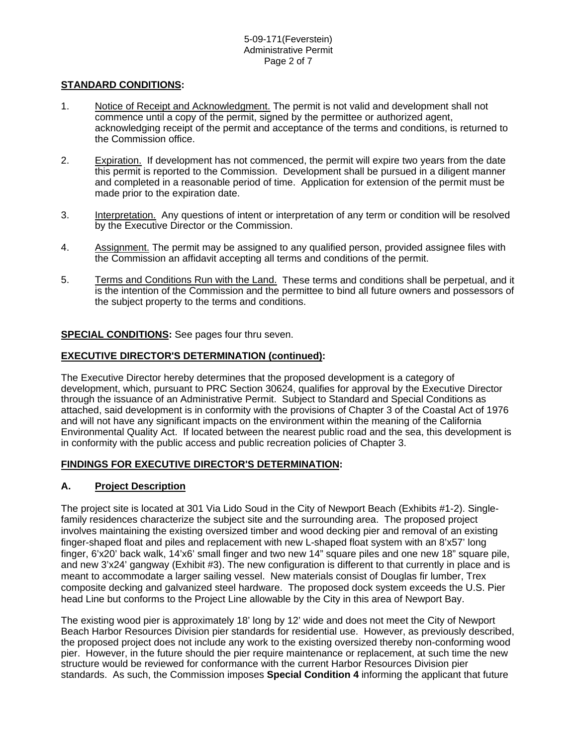## **STANDARD CONDITIONS:**

- 1. Notice of Receipt and Acknowledgment. The permit is not valid and development shall not commence until a copy of the permit, signed by the permittee or authorized agent, acknowledging receipt of the permit and acceptance of the terms and conditions, is returned to the Commission office.
- 2. Expiration. If development has not commenced, the permit will expire two years from the date this permit is reported to the Commission. Development shall be pursued in a diligent manner and completed in a reasonable period of time. Application for extension of the permit must be made prior to the expiration date.
- 3. Interpretation. Any questions of intent or interpretation of any term or condition will be resolved by the Executive Director or the Commission.
- 4. Assignment. The permit may be assigned to any qualified person, provided assignee files with the Commission an affidavit accepting all terms and conditions of the permit.
- 5. Terms and Conditions Run with the Land. These terms and conditions shall be perpetual, and it is the intention of the Commission and the permittee to bind all future owners and possessors of the subject property to the terms and conditions.

## **SPECIAL CONDITIONS:** See pages four thru seven.

#### **EXECUTIVE DIRECTOR'S DETERMINATION (continued):**

The Executive Director hereby determines that the proposed development is a category of development, which, pursuant to PRC Section 30624, qualifies for approval by the Executive Director through the issuance of an Administrative Permit. Subject to Standard and Special Conditions as attached, said development is in conformity with the provisions of Chapter 3 of the Coastal Act of 1976 and will not have any significant impacts on the environment within the meaning of the California Environmental Quality Act. If located between the nearest public road and the sea, this development is in conformity with the public access and public recreation policies of Chapter 3.

#### **FINDINGS FOR EXECUTIVE DIRECTOR'S DETERMINATION:**

## **A. Project Description**

The project site is located at 301 Via Lido Soud in the City of Newport Beach (Exhibits #1-2). Singlefamily residences characterize the subject site and the surrounding area. The proposed project involves maintaining the existing oversized timber and wood decking pier and removal of an existing finger-shaped float and piles and replacement with new L-shaped float system with an 8'x57' long finger, 6'x20' back walk, 14'x6' small finger and two new 14" square piles and one new 18" square pile, and new 3'x24' gangway (Exhibit #3). The new configuration is different to that currently in place and is meant to accommodate a larger sailing vessel. New materials consist of Douglas fir lumber, Trex composite decking and galvanized steel hardware. The proposed dock system exceeds the U.S. Pier head Line but conforms to the Project Line allowable by the City in this area of Newport Bay.

The existing wood pier is approximately 18' long by 12' wide and does not meet the City of Newport Beach Harbor Resources Division pier standards for residential use. However, as previously described, the proposed project does not include any work to the existing oversized thereby non-conforming wood pier. However, in the future should the pier require maintenance or replacement, at such time the new structure would be reviewed for conformance with the current Harbor Resources Division pier standards. As such, the Commission imposes **Special Condition 4** informing the applicant that future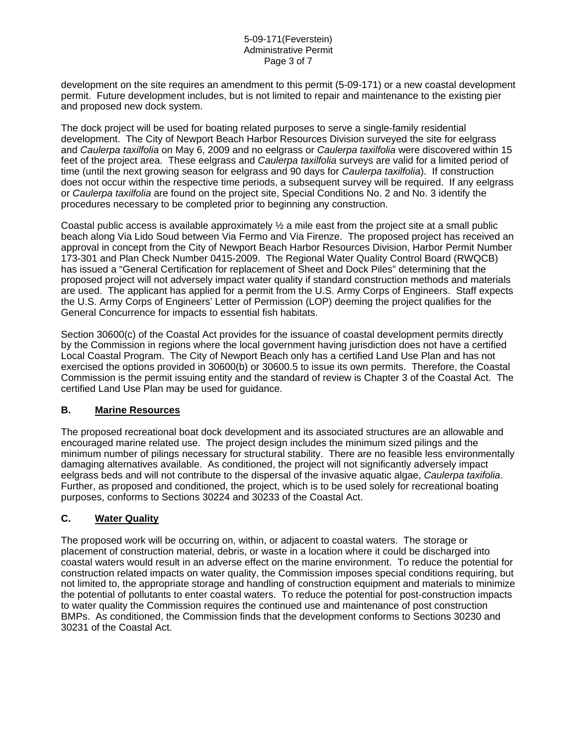development on the site requires an amendment to this permit (5-09-171) or a new coastal development permit. Future development includes, but is not limited to repair and maintenance to the existing pier and proposed new dock system.

The dock project will be used for boating related purposes to serve a single-family residential development. The City of Newport Beach Harbor Resources Division surveyed the site for eelgrass and *Caulerpa taxilfolia* on May 6, 2009 and no eelgrass or *Caulerpa taxilfolia* were discovered within 15 feet of the project area. These eelgrass and *Caulerpa taxilfolia* surveys are valid for a limited period of time (until the next growing season for eelgrass and 90 days for *Caulerpa taxilfolia*). If construction does not occur within the respective time periods, a subsequent survey will be required. If any eelgrass or *Caulerpa taxilfolia* are found on the project site, Special Conditions No. 2 and No. 3 identify the procedures necessary to be completed prior to beginning any construction.

Coastal public access is available approximately  $\frac{1}{2}$  a mile east from the project site at a small public beach along Via Lido Soud between Via Fermo and Via Firenze. The proposed project has received an approval in concept from the City of Newport Beach Harbor Resources Division, Harbor Permit Number 173-301 and Plan Check Number 0415-2009. The Regional Water Quality Control Board (RWQCB) has issued a "General Certification for replacement of Sheet and Dock Piles" determining that the proposed project will not adversely impact water quality if standard construction methods and materials are used. The applicant has applied for a permit from the U.S. Army Corps of Engineers. Staff expects the U.S. Army Corps of Engineers' Letter of Permission (LOP) deeming the project qualifies for the General Concurrence for impacts to essential fish habitats.

Section 30600(c) of the Coastal Act provides for the issuance of coastal development permits directly by the Commission in regions where the local government having jurisdiction does not have a certified Local Coastal Program. The City of Newport Beach only has a certified Land Use Plan and has not exercised the options provided in 30600(b) or 30600.5 to issue its own permits. Therefore, the Coastal Commission is the permit issuing entity and the standard of review is Chapter 3 of the Coastal Act. The certified Land Use Plan may be used for guidance.

## **B. Marine Resources**

The proposed recreational boat dock development and its associated structures are an allowable and encouraged marine related use. The project design includes the minimum sized pilings and the minimum number of pilings necessary for structural stability. There are no feasible less environmentally damaging alternatives available. As conditioned, the project will not significantly adversely impact eelgrass beds and will not contribute to the dispersal of the invasive aquatic algae, *Caulerpa taxifolia*. Further, as proposed and conditioned, the project, which is to be used solely for recreational boating purposes, conforms to Sections 30224 and 30233 of the Coastal Act.

## **C. Water Quality**

The proposed work will be occurring on, within, or adjacent to coastal waters. The storage or placement of construction material, debris, or waste in a location where it could be discharged into coastal waters would result in an adverse effect on the marine environment. To reduce the potential for construction related impacts on water quality, the Commission imposes special conditions requiring, but not limited to, the appropriate storage and handling of construction equipment and materials to minimize the potential of pollutants to enter coastal waters. To reduce the potential for post-construction impacts to water quality the Commission requires the continued use and maintenance of post construction BMPs. As conditioned, the Commission finds that the development conforms to Sections 30230 and 30231 of the Coastal Act.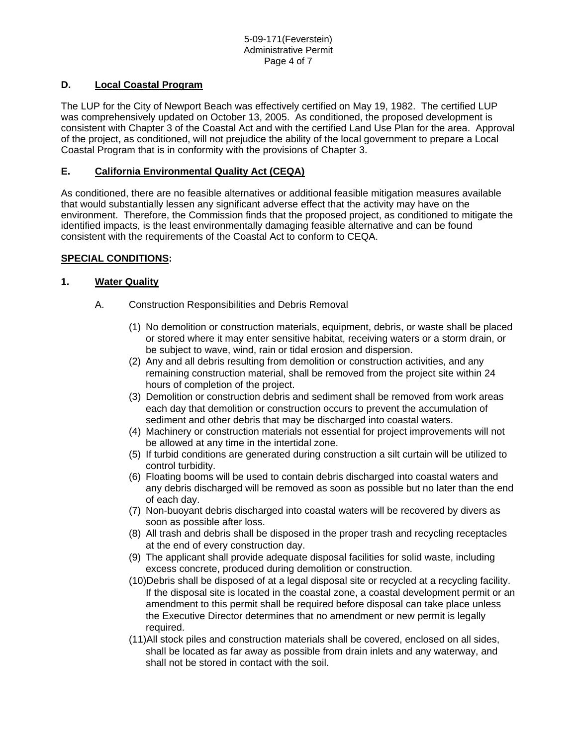# **D. Local Coastal Program**

The LUP for the City of Newport Beach was effectively certified on May 19, 1982. The certified LUP was comprehensively updated on October 13, 2005. As conditioned, the proposed development is consistent with Chapter 3 of the Coastal Act and with the certified Land Use Plan for the area. Approval of the project, as conditioned, will not prejudice the ability of the local government to prepare a Local Coastal Program that is in conformity with the provisions of Chapter 3.

## **E. California Environmental Quality Act (CEQA)**

As conditioned, there are no feasible alternatives or additional feasible mitigation measures available that would substantially lessen any significant adverse effect that the activity may have on the environment. Therefore, the Commission finds that the proposed project, as conditioned to mitigate the identified impacts, is the least environmentally damaging feasible alternative and can be found consistent with the requirements of the Coastal Act to conform to CEQA.

## **SPECIAL CONDITIONS:**

## **1. Water Quality**

- A. Construction Responsibilities and Debris Removal
	- (1) No demolition or construction materials, equipment, debris, or waste shall be placed or stored where it may enter sensitive habitat, receiving waters or a storm drain, or be subject to wave, wind, rain or tidal erosion and dispersion.
	- (2) Any and all debris resulting from demolition or construction activities, and any remaining construction material, shall be removed from the project site within 24 hours of completion of the project.
	- (3) Demolition or construction debris and sediment shall be removed from work areas each day that demolition or construction occurs to prevent the accumulation of sediment and other debris that may be discharged into coastal waters.
	- (4) Machinery or construction materials not essential for project improvements will not be allowed at any time in the intertidal zone.
	- (5) If turbid conditions are generated during construction a silt curtain will be utilized to control turbidity.
	- (6) Floating booms will be used to contain debris discharged into coastal waters and any debris discharged will be removed as soon as possible but no later than the end of each day.
	- (7) Non-buoyant debris discharged into coastal waters will be recovered by divers as soon as possible after loss.
	- (8) All trash and debris shall be disposed in the proper trash and recycling receptacles at the end of every construction day.
	- (9) The applicant shall provide adequate disposal facilities for solid waste, including excess concrete, produced during demolition or construction.
	- (10)Debris shall be disposed of at a legal disposal site or recycled at a recycling facility. If the disposal site is located in the coastal zone, a coastal development permit or an amendment to this permit shall be required before disposal can take place unless the Executive Director determines that no amendment or new permit is legally required.
	- (11)All stock piles and construction materials shall be covered, enclosed on all sides, shall be located as far away as possible from drain inlets and any waterway, and shall not be stored in contact with the soil.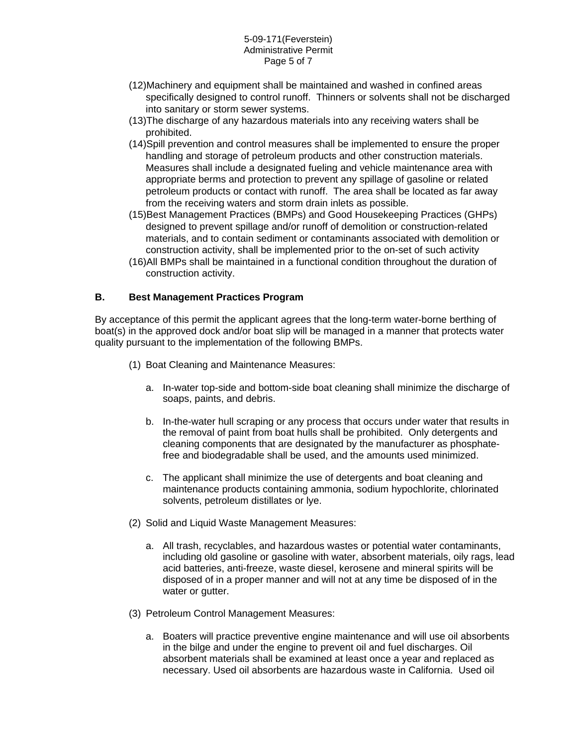#### 5-09-171(Feverstein) Administrative Permit Page 5 of 7

- (12)Machinery and equipment shall be maintained and washed in confined areas specifically designed to control runoff. Thinners or solvents shall not be discharged into sanitary or storm sewer systems.
- (13)The discharge of any hazardous materials into any receiving waters shall be prohibited.
- (14)Spill prevention and control measures shall be implemented to ensure the proper handling and storage of petroleum products and other construction materials. Measures shall include a designated fueling and vehicle maintenance area with appropriate berms and protection to prevent any spillage of gasoline or related petroleum products or contact with runoff. The area shall be located as far away from the receiving waters and storm drain inlets as possible.
- (15)Best Management Practices (BMPs) and Good Housekeeping Practices (GHPs) designed to prevent spillage and/or runoff of demolition or construction-related materials, and to contain sediment or contaminants associated with demolition or construction activity, shall be implemented prior to the on-set of such activity
- (16)All BMPs shall be maintained in a functional condition throughout the duration of construction activity.

## **B. Best Management Practices Program**

By acceptance of this permit the applicant agrees that the long-term water-borne berthing of boat(s) in the approved dock and/or boat slip will be managed in a manner that protects water quality pursuant to the implementation of the following BMPs.

- (1) Boat Cleaning and Maintenance Measures:
	- a. In-water top-side and bottom-side boat cleaning shall minimize the discharge of soaps, paints, and debris.
	- b. In-the-water hull scraping or any process that occurs under water that results in the removal of paint from boat hulls shall be prohibited. Only detergents and cleaning components that are designated by the manufacturer as phosphatefree and biodegradable shall be used, and the amounts used minimized.
	- c. The applicant shall minimize the use of detergents and boat cleaning and maintenance products containing ammonia, sodium hypochlorite, chlorinated solvents, petroleum distillates or lye.
- (2) Solid and Liquid Waste Management Measures:
	- a. All trash, recyclables, and hazardous wastes or potential water contaminants, including old gasoline or gasoline with water, absorbent materials, oily rags, lead acid batteries, anti-freeze, waste diesel, kerosene and mineral spirits will be disposed of in a proper manner and will not at any time be disposed of in the water or gutter.
- (3) Petroleum Control Management Measures:
	- a. Boaters will practice preventive engine maintenance and will use oil absorbents in the bilge and under the engine to prevent oil and fuel discharges. Oil absorbent materials shall be examined at least once a year and replaced as necessary. Used oil absorbents are hazardous waste in California. Used oil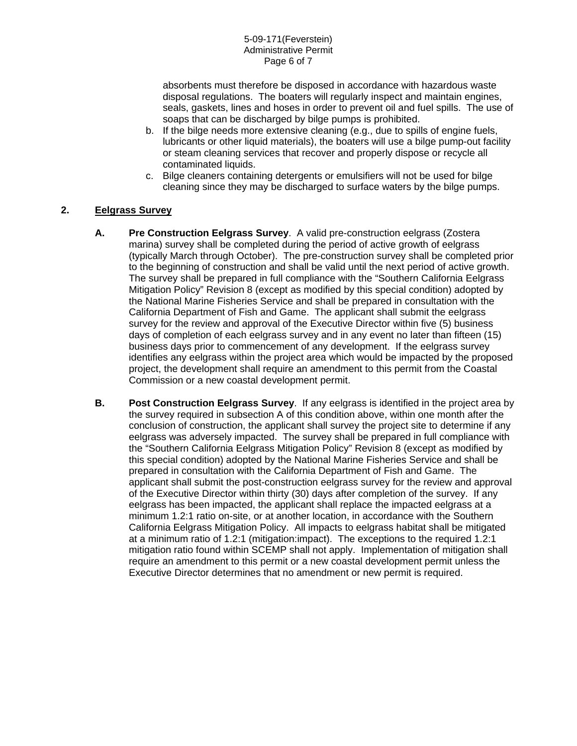absorbents must therefore be disposed in accordance with hazardous waste disposal regulations. The boaters will regularly inspect and maintain engines, seals, gaskets, lines and hoses in order to prevent oil and fuel spills. The use of soaps that can be discharged by bilge pumps is prohibited.

- b. If the bilge needs more extensive cleaning (e.g., due to spills of engine fuels, lubricants or other liquid materials), the boaters will use a bilge pump-out facility or steam cleaning services that recover and properly dispose or recycle all contaminated liquids.
- c. Bilge cleaners containing detergents or emulsifiers will not be used for bilge cleaning since they may be discharged to surface waters by the bilge pumps.

## **2. Eelgrass Survey**

- **A. Pre Construction Eelgrass Survey**. A valid pre-construction eelgrass (Zostera marina) survey shall be completed during the period of active growth of eelgrass (typically March through October). The pre-construction survey shall be completed prior to the beginning of construction and shall be valid until the next period of active growth. The survey shall be prepared in full compliance with the "Southern California Eelgrass Mitigation Policy" Revision 8 (except as modified by this special condition) adopted by the National Marine Fisheries Service and shall be prepared in consultation with the California Department of Fish and Game. The applicant shall submit the eelgrass survey for the review and approval of the Executive Director within five (5) business days of completion of each eelgrass survey and in any event no later than fifteen (15) business days prior to commencement of any development. If the eelgrass survey identifies any eelgrass within the project area which would be impacted by the proposed project, the development shall require an amendment to this permit from the Coastal Commission or a new coastal development permit.
- **B. Post Construction Eelgrass Survey**. If any eelgrass is identified in the project area by the survey required in subsection A of this condition above, within one month after the conclusion of construction, the applicant shall survey the project site to determine if any eelgrass was adversely impacted. The survey shall be prepared in full compliance with the "Southern California Eelgrass Mitigation Policy" Revision 8 (except as modified by this special condition) adopted by the National Marine Fisheries Service and shall be prepared in consultation with the California Department of Fish and Game. The applicant shall submit the post-construction eelgrass survey for the review and approval of the Executive Director within thirty (30) days after completion of the survey. If any eelgrass has been impacted, the applicant shall replace the impacted eelgrass at a minimum 1.2:1 ratio on-site, or at another location, in accordance with the Southern California Eelgrass Mitigation Policy. All impacts to eelgrass habitat shall be mitigated at a minimum ratio of 1.2:1 (mitigation:impact). The exceptions to the required 1.2:1 mitigation ratio found within SCEMP shall not apply. Implementation of mitigation shall require an amendment to this permit or a new coastal development permit unless the Executive Director determines that no amendment or new permit is required.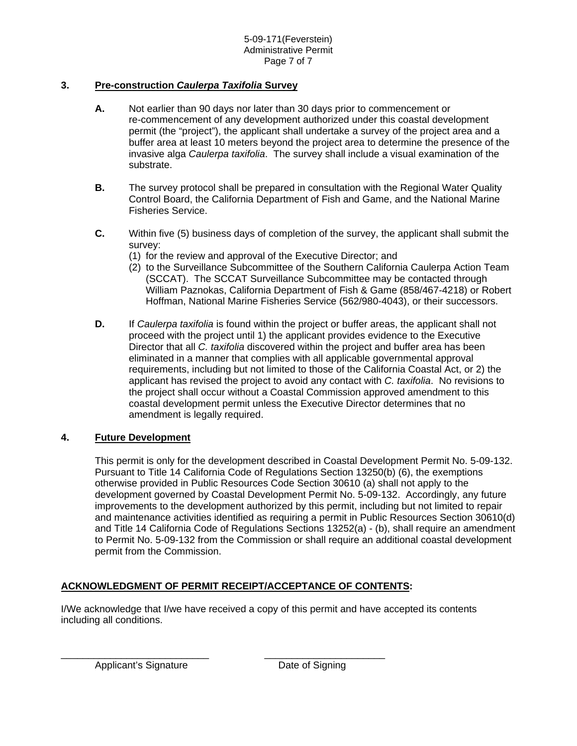# **3. Pre-construction** *Caulerpa Taxifolia* **Survey**

- **A.** Not earlier than 90 days nor later than 30 days prior to commencement or re-commencement of any development authorized under this coastal development permit (the "project"), the applicant shall undertake a survey of the project area and a buffer area at least 10 meters beyond the project area to determine the presence of the invasive alga *Caulerpa taxifolia*. The survey shall include a visual examination of the substrate.
- **B.** The survey protocol shall be prepared in consultation with the Regional Water Quality Control Board, the California Department of Fish and Game, and the National Marine Fisheries Service.
- **C.** Within five (5) business days of completion of the survey, the applicant shall submit the survey:
	- (1) for the review and approval of the Executive Director; and
	- (2) to the Surveillance Subcommittee of the Southern California Caulerpa Action Team (SCCAT). The SCCAT Surveillance Subcommittee may be contacted through William Paznokas, California Department of Fish & Game (858/467-4218) or Robert Hoffman, National Marine Fisheries Service (562/980-4043), or their successors.
- **D.** If *Caulerpa taxifolia* is found within the project or buffer areas, the applicant shall not proceed with the project until 1) the applicant provides evidence to the Executive Director that all *C. taxifolia* discovered within the project and buffer area has been eliminated in a manner that complies with all applicable governmental approval requirements, including but not limited to those of the California Coastal Act, or 2) the applicant has revised the project to avoid any contact with *C. taxifolia*. No revisions to the project shall occur without a Coastal Commission approved amendment to this coastal development permit unless the Executive Director determines that no amendment is legally required.

## **4. Future Development**

This permit is only for the development described in Coastal Development Permit No. 5-09-132. Pursuant to Title 14 California Code of Regulations Section 13250(b) (6), the exemptions otherwise provided in Public Resources Code Section 30610 (a) shall not apply to the development governed by Coastal Development Permit No. 5-09-132. Accordingly, any future improvements to the development authorized by this permit, including but not limited to repair and maintenance activities identified as requiring a permit in Public Resources Section 30610(d) and Title 14 California Code of Regulations Sections 13252(a) - (b), shall require an amendment to Permit No. 5-09-132 from the Commission or shall require an additional coastal development permit from the Commission.

# **ACKNOWLEDGMENT OF PERMIT RECEIPT/ACCEPTANCE OF CONTENTS:**

\_\_\_\_\_\_\_\_\_\_\_\_\_\_\_\_\_\_\_\_\_\_\_\_\_\_\_ \_\_\_\_\_\_\_\_\_\_\_\_\_\_\_\_\_\_\_\_\_\_

I/We acknowledge that I/we have received a copy of this permit and have accepted its contents including all conditions.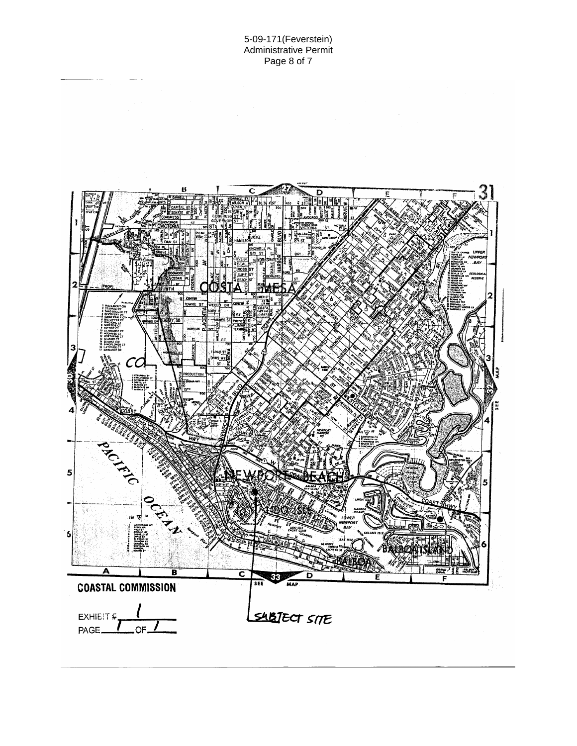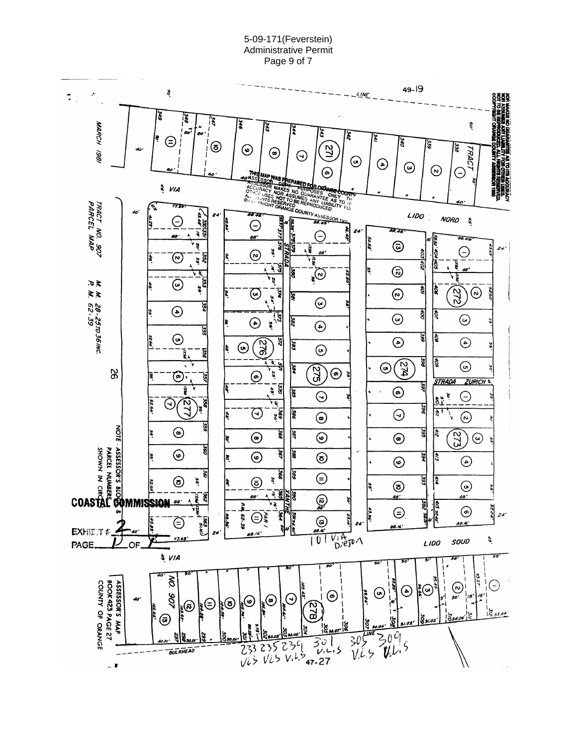#### 5-09-171(Feverstein) Administrative Permit Page 9 of 7